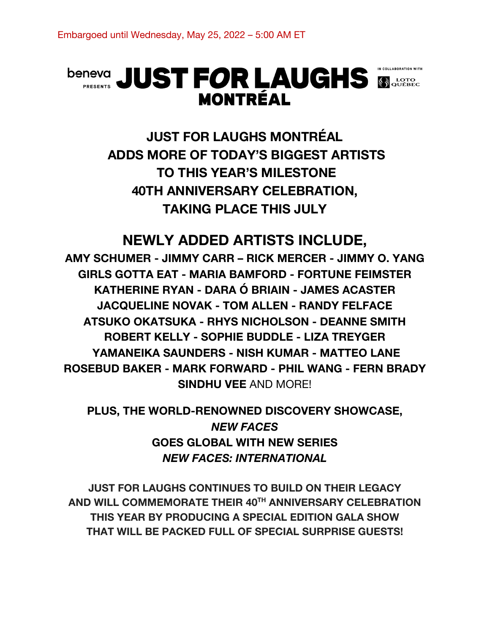# **beneva** JUST FOR LAUGHS SOUTHER **MONTRÉAL**



# **NEWLY ADDED ARTISTS INCLUDE,**

**AMY SCHUMER - JIMMY CARR – RICK MERCER - JIMMY O. YANG GIRLS GOTTA EAT - MARIA BAMFORD - FORTUNE FEIMSTER KATHERINE RYAN - DARA Ó BRIAIN - JAMES ACASTER JACQUELINE NOVAK - TOM ALLEN - RANDY FELFACE ATSUKO OKATSUKA - RHYS NICHOLSON - DEANNE SMITH ROBERT KELLY - SOPHIE BUDDLE - LIZA TREYGER YAMANEIKA SAUNDERS - NISH KUMAR - MATTEO LANE ROSEBUD BAKER - MARK FORWARD - PHIL WANG - FERN BRADY SINDHU VEE** AND MORE!

**PLUS, THE WORLD-RENOWNED DISCOVERY SHOWCASE,**  *NEW FACES* **GOES GLOBAL WITH NEW SERIES** *NEW FACES: INTERNATIONAL*

**JUST FOR LAUGHS CONTINUES TO BUILD ON THEIR LEGACY AND WILL COMMEMORATE THEIR 40TH ANNIVERSARY CELEBRATION THIS YEAR BY PRODUCING A SPECIAL EDITION GALA SHOW THAT WILL BE PACKED FULL OF SPECIAL SURPRISE GUESTS!**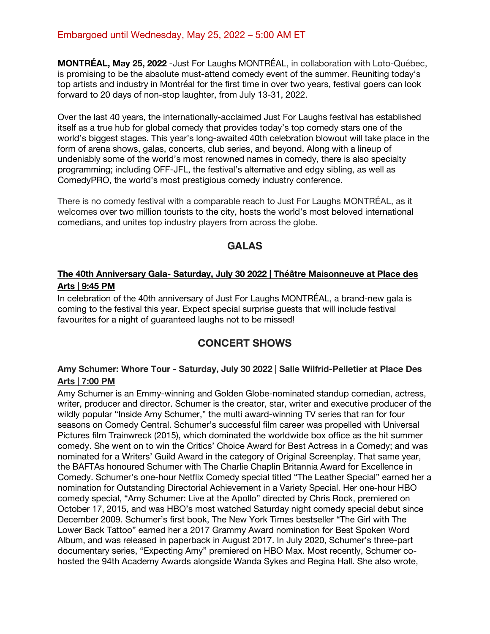#### Embargoed until Wednesday, May 25, 2022 – 5:00 AM ET

**MONTRÉAL, May 25, 2022** -Just For Laughs MONTRÉAL, in collaboration with Loto-Québec, is promising to be the absolute must-attend comedy event of the summer. Reuniting today's top artists and industry in Montréal for the first time in over two years, festival goers can look forward to 20 days of non-stop laughter, from July 13-31, 2022.

Over the last 40 years, the internationally-acclaimed Just For Laughs festival has established itself as a true hub for global comedy that provides today's top comedy stars one of the world's biggest stages. This year's long-awaited 40th celebration blowout will take place in the form of arena shows, galas, concerts, club series, and beyond. Along with a lineup of undeniably some of the world's most renowned names in comedy, there is also specialty programming; including OFF-JFL, the festival's alternative and edgy sibling, as well as ComedyPRO, the world's most prestigious comedy industry conference.

There is no comedy festival with a comparable reach to Just For Laughs MONTRÉAL, as it welcomes over two million tourists to the city, hosts the world's most beloved international comedians, and unites top industry players from across the globe.

#### **GALAS**

#### **The 40th Anniversary Gala- Saturday, July 30 2022 | Théâtre Maisonneuve at Place des Arts | 9:45 PM**

In celebration of the 40th anniversary of Just For Laughs MONTRÉAL, a brand-new gala is coming to the festival this year. Expect special surprise guests that will include festival favourites for a night of guaranteed laughs not to be missed!

# **CONCERT SHOWS**

#### **Amy Schumer: Whore Tour - Saturday, July 30 2022 | Salle Wilfrid-Pelletier at Place Des Arts | 7:00 PM**

Amy Schumer is an Emmy-winning and Golden Globe-nominated standup comedian, actress, writer, producer and director. Schumer is the creator, star, writer and executive producer of the wildly popular "Inside Amy Schumer," the multi award-winning TV series that ran for four seasons on Comedy Central. Schumer's successful film career was propelled with Universal Pictures film Trainwreck (2015), which dominated the worldwide box office as the hit summer comedy. She went on to win the Critics' Choice Award for Best Actress in a Comedy; and was nominated for a Writers' Guild Award in the category of Original Screenplay. That same year, the BAFTAs honoured Schumer with The Charlie Chaplin Britannia Award for Excellence in Comedy. Schumer's one-hour Netflix Comedy special titled "The Leather Special" earned her a nomination for Outstanding Directorial Achievement in a Variety Special. Her one-hour HBO comedy special, "Amy Schumer: Live at the Apollo" directed by Chris Rock, premiered on October 17, 2015, and was HBO's most watched Saturday night comedy special debut since December 2009. Schumer's first book, The New York Times bestseller "The Girl with The Lower Back Tattoo" earned her a 2017 Grammy Award nomination for Best Spoken Word Album, and was released in paperback in August 2017. In July 2020, Schumer's three-part documentary series, "Expecting Amy" premiered on HBO Max. Most recently, Schumer cohosted the 94th Academy Awards alongside Wanda Sykes and Regina Hall. She also wrote,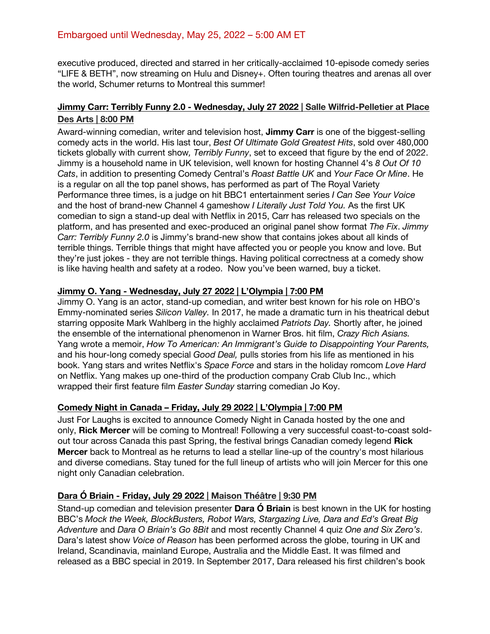executive produced, directed and starred in her critically-acclaimed 10-episode comedy series "LIFE & BETH", now streaming on Hulu and Disney+. Often touring theatres and arenas all over the world, Schumer returns to Montreal this summer!

#### **Jimmy Carr: Terribly Funny 2.0 - Wednesday, July 27 2022 | Salle Wilfrid-Pelletier at Place Des Arts | 8:00 PM**

Award-winning comedian, writer and television host, **Jimmy Carr** is one of the biggest-selling comedy acts in the world. His last tour, *Best Of Ultimate Gold Greatest Hits*, sold over 480,000 tickets globally with current show*, Terribly Funny*, set to exceed that figure by the end of 2022. Jimmy is a household name in UK television, well known for hosting Channel 4's *8 Out Of 10 Cats*, in addition to presenting Comedy Central's *Roast Battle UK* and *Your Face Or Mine*. He is a regular on all the top panel shows, has performed as part of The Royal Variety Performance three times, is a judge on hit BBC1 entertainment series *I Can See Your Voice* and the host of brand-new Channel 4 gameshow *I Literally Just Told You.* As the first UK comedian to sign a stand-up deal with Netflix in 2015, Carr has released two specials on the platform, and has presented and exec-produced an original panel show format *The Fix*. *Jimmy Carr: Terribly Funny 2.0* is Jimmy's brand-new show that contains jokes about all kinds of terrible things. Terrible things that might have affected you or people you know and love. But they're just jokes - they are not terrible things. Having political correctness at a comedy show is like having health and safety at a rodeo. Now you've been warned, buy a ticket.

#### **Jimmy O. Yang - Wednesday, July 27 2022 | L'Olympia | 7:00 PM**

Jimmy O. Yang is an actor, stand-up comedian, and writer best known for his role on HBO's Emmy-nominated series *Silicon Valley.* In 2017, he made a dramatic turn in his theatrical debut starring opposite Mark Wahlberg in the highly acclaimed *Patriots Day.* Shortly after, he joined the ensemble of the international phenomenon in Warner Bros. hit film, *Crazy Rich Asians.*  Yang wrote a memoir, *How To American: An Immigrant's Guide to Disappointing Your Parents,*  and his hour-long comedy special *Good Deal,* pulls stories from his life as mentioned in his book. Yang stars and writes Netflix's *Space Force* and stars in the holiday romcom *Love Hard*  on Netflix. Yang makes up one-third of the production company Crab Club Inc., which wrapped their first feature film *Easter Sunday* starring comedian Jo Koy.

#### **Comedy Night in Canada – Friday, July 29 2022 | L'Olympia | 7:00 PM**

Just For Laughs is excited to announce Comedy Night in Canada hosted by the one and only, **Rick Mercer** will be coming to Montreal! Following a very successful coast-to-coast soldout tour across Canada this past Spring, the festival brings Canadian comedy legend **Rick Mercer** back to Montreal as he returns to lead a stellar line-up of the country's most hilarious and diverse comedians. Stay tuned for the full lineup of artists who will join Mercer for this one night only Canadian celebration.

#### **Dara Ó Briain - Friday, July 29 2022 | Maison Théâtre | 9:30 PM**

Stand-up comedian and television presenter **Dara Ó Briain** is best known in the UK for hosting BBC's *Mock the Week, BlockBusters, Robot Wars, Stargazing Live, Dara and Ed's Great Big Adventure* and *Dara O Briain's Go 8Bit* and most recently Channel 4 quiz *One and Six Zero's*. Dara's latest show *Voice of Reason* has been performed across the globe, touring in UK and Ireland, Scandinavia, mainland Europe, Australia and the Middle East. It was filmed and released as a BBC special in 2019. In September 2017, Dara released his first children's book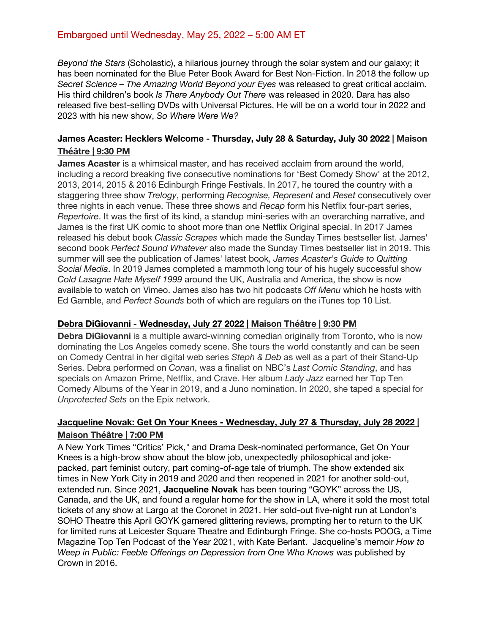#### Embargoed until Wednesday, May 25, 2022 – 5:00 AM ET

*Beyond the Stars* (Scholastic), a hilarious journey through the solar system and our galaxy; it has been nominated for the Blue Peter Book Award for Best Non-Fiction. In 2018 the follow up *Secret Science – The Amazing World Beyond your Eyes* was released to great critical acclaim. His third children's book *Is There Anybody Out There* was released in 2020. Dara has also released five best-selling DVDs with Universal Pictures. He will be on a world tour in 2022 and 2023 with his new show, *So Where Were We?*

#### **James Acaster: Hecklers Welcome - Thursday, July 28 & Saturday, July 30 2022 | Maison Théâtre | 9:30 PM**

**James Acaster** is a whimsical master, and has received acclaim from around the world, including a record breaking five consecutive nominations for 'Best Comedy Show' at the 2012, 2013, 2014, 2015 & 2016 Edinburgh Fringe Festivals. In 2017, he toured the country with a staggering three show *Trelogy*, performing *Recognise, Represent* and *Reset* consecutively over three nights in each venue. These three shows and *Recap* form his Netflix four-part series, *Repertoire*. It was the first of its kind, a standup mini-series with an overarching narrative, and James is the first UK comic to shoot more than one Netflix Original special. In 2017 James released his debut book *Classic Scrapes* which made the Sunday Times bestseller list. James' second book *Perfect Sound Whatever* also made the Sunday Times bestseller list in 2019. This summer will see the publication of James' latest book, *James Acaster's Guide to Quitting Social Media*. In 2019 James completed a mammoth long tour of his hugely successful show *Cold Lasagne Hate Myself 1999* around the UK, Australia and America, the show is now available to watch on Vimeo. James also has two hit podcasts *Off Menu* which he hosts with Ed Gamble, and *Perfect Sounds* both of which are regulars on the iTunes top 10 List.

#### **Debra DiGiovanni - Wednesday, July 27 2022 | Maison Théâtre | 9:30 PM**

**Debra DiGiovanni** is a multiple award-winning comedian originally from Toronto, who is now dominating the Los Angeles comedy scene. She tours the world constantly and can be seen on Comedy Central in her digital web series *Steph & Deb* as well as a part of their Stand-Up Series. Debra performed on *Conan*, was a finalist on NBC's *Last Comic Standing*, and has specials on Amazon Prime, Netflix, and Crave. Her album *Lady Jazz* earned her Top Ten Comedy Albums of the Year in 2019, and a Juno nomination. In 2020, she taped a special for *Unprotected Sets* on the Epix network.

# **Jacqueline Novak: Get On Your Knees - Wednesday, July 27 & Thursday, July 28 2022 | Maison Théâtre | 7:00 PM**

A New York Times "Critics' Pick," and Drama Desk-nominated performance, Get On Your Knees is a high-brow show about the blow job, unexpectedly philosophical and jokepacked, part feminist outcry, part coming-of-age tale of triumph. The show extended six times in New York City in 2019 and 2020 and then reopened in 2021 for another sold-out, extended run. Since 2021, **Jacqueline Novak** has been touring "GOYK" across the US, Canada, and the UK, and found a regular home for the show in LA, where it sold the most total tickets of any show at Largo at the Coronet in 2021. Her sold-out five-night run at London's SOHO Theatre this April GOYK garnered glittering reviews, prompting her to return to the UK for limited runs at Leicester Square Theatre and Edinburgh Fringe. She co-hosts POOG, a Time Magazine Top Ten Podcast of the Year 2021, with Kate Berlant. Jacqueline's memoir *How to Weep in Public: Feeble Offerings on Depression from One Who Knows* was published by Crown in 2016.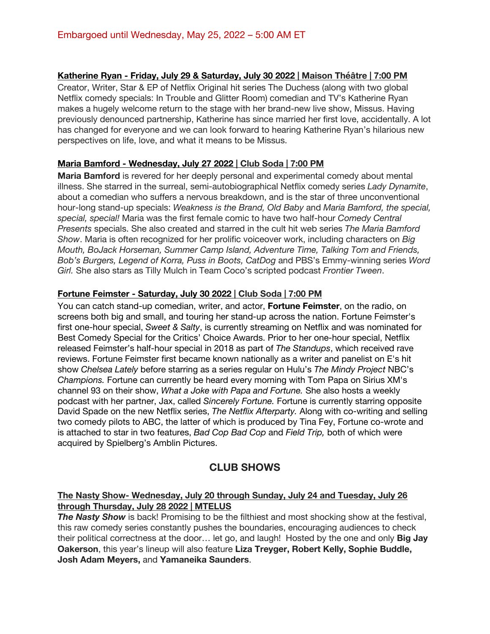#### **Katherine Ryan - Friday, July 29 & Saturday, July 30 2022 | Maison Théâtre | 7:00 PM**

Creator, Writer, Star & EP of Netflix Original hit series The Duchess (along with two global Netflix comedy specials: In Trouble and Glitter Room) comedian and TV's Katherine Ryan makes a hugely welcome return to the stage with her brand-new live show, Missus. Having previously denounced partnership, Katherine has since married her first love, accidentally. A lot has changed for everyone and we can look forward to hearing Katherine Ryan's hilarious new perspectives on life, love, and what it means to be Missus.

#### **Maria Bamford - Wednesday, July 27 2022 | Club Soda | 7:00 PM**

**Maria Bamford** is revered for her deeply personal and experimental comedy about mental illness. She starred in the surreal, semi-autobiographical Netflix comedy series *Lady Dynamite*, about a comedian who suffers a nervous breakdown, and is the star of three unconventional hour-long stand-up specials: *Weakness is the Brand, Old Baby* and *Maria Bamford, the special, special, special!* Maria was the first female comic to have two half-hour *Comedy Central Presents* specials. She also created and starred in the cult hit web series *The Maria Bamford Show*. Maria is often recognized for her prolific voiceover work, including characters on *Big Mouth, BoJack Horseman, Summer Camp Island, Adventure Time, Talking Tom and Friends, Bob's Burgers, Legend of Korra, Puss in Boots, CatDog* and PBS's Emmy-winning series *Word Girl.* She also stars as Tilly Mulch in Team Coco's scripted podcast *Frontier Tween*.

#### **Fortune Feimster - Saturday, July 30 2022 | Club Soda | 7:00 PM**

You can catch stand-up comedian, writer, and actor, **Fortune Feimster**, on the radio, on screens both big and small, and touring her stand-up across the nation. Fortune Feimster's first one-hour special, *Sweet & Salty*, is currently streaming on Netflix and was nominated for Best Comedy Special for the Critics' Choice Awards. Prior to her one-hour special, Netflix released Feimster's half-hour special in 2018 as part of *The Standups*, which received rave reviews. Fortune Feimster first became known nationally as a writer and panelist on E's hit show *Chelsea Lately* before starring as a series regular on Hulu's *The Mindy Project* NBC's *Champions.* Fortune can currently be heard every morning with Tom Papa on Sirius XM's channel 93 on their show, *What a Joke with Papa and Fortune.* She also hosts a weekly podcast with her partner, Jax, called *Sincerely Fortune.* Fortune is currently starring opposite David Spade on the new Netflix series, *The Netflix Afterparty.* Along with co-writing and selling two comedy pilots to ABC, the latter of which is produced by Tina Fey, Fortune co-wrote and is attached to star in two features, *Bad Cop Bad Cop* and *Field Trip,* both of which were acquired by Spielberg's Amblin Pictures.

# **CLUB SHOWS**

#### **The Nasty Show- Wednesday, July 20 through Sunday, July 24 and Tuesday, July 26 through Thursday, July 28 2022 | MTELUS**

**The Nasty Show** is back! Promising to be the filthiest and most shocking show at the festival, this raw comedy series constantly pushes the boundaries, encouraging audiences to check their political correctness at the door… let go, and laugh! Hosted by the one and only **Big Jay Oakerson**, this year's lineup will also feature **Liza Treyger, Robert Kelly, Sophie Buddle, Josh Adam Meyers,** and **Yamaneika Saunders**.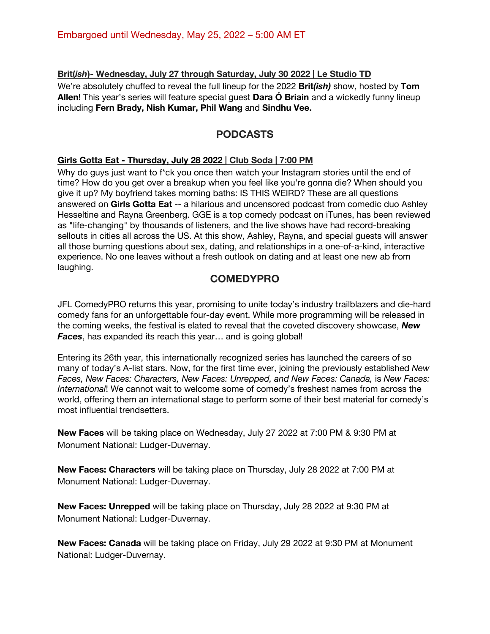#### **Brit(***ish***)- Wednesday, July 27 through Saturday, July 30 2022 | Le Studio TD**

We're absolutely chuffed to reveal the full lineup for the 2022 **Brit***(ish)* show, hosted by **Tom Allen**! This year's series will feature special guest **Dara Ó Briain** and a wickedly funny lineup including **Fern Brady, Nish Kumar, Phil Wang** and **Sindhu Vee.** 

# **PODCASTS**

#### **Girls Gotta Eat - Thursday, July 28 2022 | Club Soda | 7:00 PM**

Why do guys just want to f<sup>\*</sup>ck you once then watch your Instagram stories until the end of time? How do you get over a breakup when you feel like you're gonna die? When should you give it up? My boyfriend takes morning baths: IS THIS WEIRD? These are all questions answered on **Girls Gotta Eat** -- a hilarious and uncensored podcast from comedic duo Ashley Hesseltine and Rayna Greenberg. GGE is a top comedy podcast on iTunes, has been reviewed as "life-changing" by thousands of listeners, and the live shows have had record-breaking sellouts in cities all across the US. At this show, Ashley, Rayna, and special guests will answer all those burning questions about sex, dating, and relationships in a one-of-a-kind, interactive experience. No one leaves without a fresh outlook on dating and at least one new ab from laughing.

# **COMEDYPRO**

JFL ComedyPRO returns this year, promising to unite today's industry trailblazers and die-hard comedy fans for an unforgettable four-day event. While more programming will be released in the coming weeks, the festival is elated to reveal that the coveted discovery showcase, *New Faces*, has expanded its reach this year… and is going global!

Entering its 26th year, this internationally recognized series has launched the careers of so many of today's A-list stars. Now, for the first time ever, joining the previously established *New Faces, New Faces: Characters, New Faces: Unrepped, and New Faces: Canada,* is *New Faces: International*! We cannot wait to welcome some of comedy's freshest names from across the world, offering them an international stage to perform some of their best material for comedy's most influential trendsetters.

**New Faces** will be taking place on Wednesday, July 27 2022 at 7:00 PM & 9:30 PM at Monument National: Ludger-Duvernay.

**New Faces: Characters** will be taking place on Thursday, July 28 2022 at 7:00 PM at Monument National: Ludger-Duvernay.

**New Faces: Unrepped** will be taking place on Thursday, July 28 2022 at 9:30 PM at Monument National: Ludger-Duvernay.

**New Faces: Canada** will be taking place on Friday, July 29 2022 at 9:30 PM at Monument National: Ludger-Duvernay.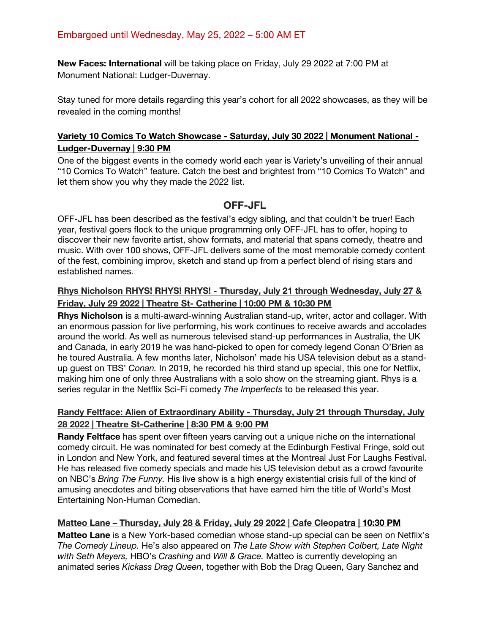**New Faces: International** will be taking place on Friday, July 29 2022 at 7:00 PM at Monument National: Ludger-Duvernay.

Stay tuned for more details regarding this year's cohort for all 2022 showcases, as they will be revealed in the coming months!

#### **Variety 10 Comics To Watch Showcase - Saturday, July 30 2022 | Monument National - Ludger-Duvernay | 9:30 PM**

One of the biggest events in the comedy world each year is Variety's unveiling of their annual "10 Comics To Watch" feature. Catch the best and brightest from "10 Comics To Watch" and let them show you why they made the 2022 list.

# **OFF-JFL**

OFF-JFL has been described as the festival's edgy sibling, and that couldn't be truer! Each year, festival goers flock to the unique programming only OFF-JFL has to offer, hoping to discover their new favorite artist, show formats, and material that spans comedy, theatre and music. With over 100 shows, OFF-JFL delivers some of the most memorable comedy content of the fest, combining improv, sketch and stand up from a perfect blend of rising stars and established names.

#### **Rhys Nicholson RHYS! RHYS! RHYS! - Thursday, July 21 through Wednesday, July 27 & Friday, July 29 2022 | Theatre St- Catherine | 10:00 PM & 10:30 PM**

**Rhys Nicholson** is a multi-award-winning Australian stand-up, writer, actor and collager. With an enormous passion for live performing, his work continues to receive awards and accolades around the world. As well as numerous televised stand-up performances in Australia, the UK and Canada, in early 2019 he was hand-picked to open for comedy legend Conan O'Brien as he toured Australia. A few months later, Nicholson' made his USA television debut as a standup guest on TBS' *Conan.* In 2019, he recorded his third stand up special, this one for Netflix, making him one of only three Australians with a solo show on the streaming giant. Rhys is a series regular in the Netflix Sci-Fi comedy *The Imperfects* to be released this year.

#### **Randy Feltface: Alien of Extraordinary Ability - Thursday, July 21 through Thursday, July 28 2022 | Theatre St-Catherine | 8:30 PM & 9:00 PM**

**Randy Feltface** has spent over fifteen years carving out a unique niche on the international comedy circuit. He was nominated for best comedy at the Edinburgh Festival Fringe, sold out in London and New York, and featured several times at the Montreal Just For Laughs Festival. He has released five comedy specials and made his US television debut as a crowd favourite on NBC's *Bring The Funny.* His live show is a high energy existential crisis full of the kind of amusing anecdotes and biting observations that have earned him the title of World's Most Entertaining Non-Human Comedian.

#### **Matteo Lane – Thursday, July 28 & Friday, July 29 2022 | Cafe Cleopatra | 10:30 PM**

**Matteo Lane** is a New York-based comedian whose stand-up special can be seen on Netflix's *The Comedy Lineup.* He's also appeared on *The Late Show with Stephen Colbert, Late Night with Seth Meyers,* HBO's *Crashing* and *Will & Grace.* Matteo is currently developing an animated series *Kickass Drag Queen*, together with Bob the Drag Queen, Gary Sanchez and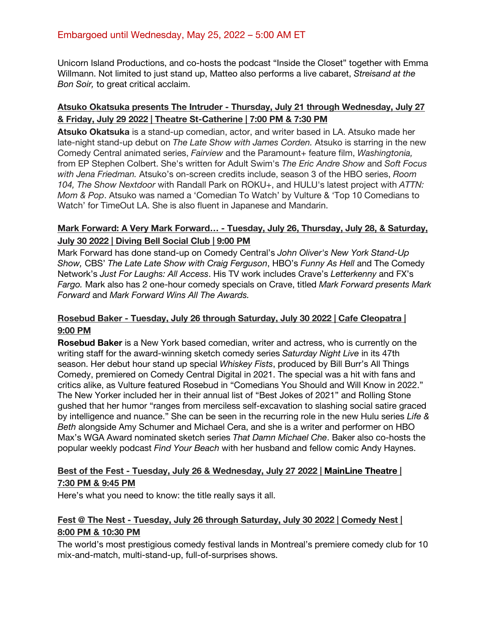Unicorn Island Productions, and co-hosts the podcast "Inside the Closet" together with Emma Willmann. Not limited to just stand up, Matteo also performs a live cabaret, *Streisand at the Bon Soir,* to great critical acclaim.

#### **Atsuko Okatsuka presents The Intruder - Thursday, July 21 through Wednesday, July 27 & Friday, July 29 2022 | Theatre St-Catherine | 7:00 PM & 7:30 PM**

**Atsuko Okatsuka** is a stand-up comedian, actor, and writer based in LA. Atsuko made her late-night stand-up debut on *The Late Show with James Corden.* Atsuko is starring in the new Comedy Central animated series, *Fairview* and the Paramount+ feature film, *Washingtonia,*  from EP Stephen Colbert. She's written for Adult Swim's *The Eric Andre Show* and *Soft Focus with Jena Friedman.* Atsuko's on-screen credits include, season 3 of the HBO series, *Room 104, The Show Nextdoor* with Randall Park on ROKU+, and HULU's latest project with *ATTN: Mom & Pop*. Atsuko was named a 'Comedian To Watch' by Vulture & 'Top 10 Comedians to Watch' for TimeOut LA. She is also fluent in Japanese and Mandarin.

#### **Mark Forward: A Very Mark Forward… - Tuesday, July 26, Thursday, July 28, & Saturday, July 30 2022 | Diving Bell Social Club | 9:00 PM**

Mark Forward has done stand-up on Comedy Central's *John Oliver's New York Stand-Up Show,* CBS' *The Late Late Show with Craig Ferguson*, HBO's *Funny As Hell* and The Comedy Network's *Just For Laughs: All Access*. His TV work includes Crave's *Letterkenny* and FX's *Fargo.* Mark also has 2 one-hour comedy specials on Crave, titled *Mark Forward presents Mark Forward* and *Mark Forward Wins All The Awards.* 

#### **Rosebud Baker - Tuesday, July 26 through Saturday, July 30 2022 | Cafe Cleopatra | 9:00 PM**

**Rosebud Baker** is a New York based comedian, writer and actress, who is currently on the writing staff for the award-winning sketch comedy series *Saturday Night Live* in its 47th season. Her debut hour stand up special *Whiskey Fists*, produced by Bill Burr's All Things Comedy, premiered on Comedy Central Digital in 2021. The special was a hit with fans and critics alike, as Vulture featured Rosebud in "Comedians You Should and Will Know in 2022." The New Yorker included her in their annual list of "Best Jokes of 2021" and Rolling Stone gushed that her humor "ranges from merciless self-excavation to slashing social satire graced by intelligence and nuance." She can be seen in the recurring role in the new Hulu series *Life & Beth* alongside Amy Schumer and Michael Cera, and she is a writer and performer on HBO Max's WGA Award nominated sketch series *That Damn Michael Che*. Baker also co-hosts the popular weekly podcast *Find Your Beach* with her husband and fellow comic Andy Haynes.

#### **Best of the Fest - Tuesday, July 26 & Wednesday, July 27 2022 | MainLine Theatre | 7:30 PM & 9:45 PM**

Here's what you need to know: the title really says it all.

#### **Fest @ The Nest - Tuesday, July 26 through Saturday, July 30 2022 | Comedy Nest | 8:00 PM & 10:30 PM**

The world's most prestigious comedy festival lands in Montreal's premiere comedy club for 10 mix-and-match, multi-stand-up, full-of-surprises shows.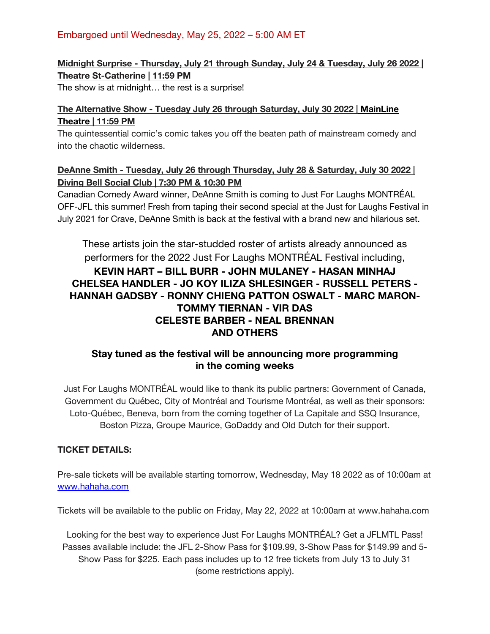# **Midnight Surprise - Thursday, July 21 through Sunday, July 24 & Tuesday, July 26 2022 | Theatre St-Catherine | 11:59 PM**

The show is at midnight… the rest is a surprise!

#### **The Alternative Show - Tuesday July 26 through Saturday, July 30 2022 | MainLine Theatre | 11:59 PM**

The quintessential comic's comic takes you off the beaten path of mainstream comedy and into the chaotic wilderness.

# **DeAnne Smith - Tuesday, July 26 through Thursday, July 28 & Saturday, July 30 2022 | Diving Bell Social Club | 7:30 PM & 10:30 PM**

Canadian Comedy Award winner, DeAnne Smith is coming to Just For Laughs MONTRÉAL OFF-JFL this summer! Fresh from taping their second special at the Just for Laughs Festival in July 2021 for Crave, DeAnne Smith is back at the festival with a brand new and hilarious set.

These artists join the star-studded roster of artists already announced as performers for the 2022 Just For Laughs MONTRÉAL Festival including, **KEVIN HART – BILL BURR - JOHN MULANEY - HASAN MINHAJ CHELSEA HANDLER - JO KOY ILIZA SHLESINGER - RUSSELL PETERS - HANNAH GADSBY - RONNY CHIENG PATTON OSWALT - MARC MARON-TOMMY TIERNAN - VIR DAS CELESTE BARBER - NEAL BRENNAN AND OTHERS**

# **Stay tuned as the festival will be announcing more programming in the coming weeks**

Just For Laughs MONTRÉAL would like to thank its public partners: Government of Canada, Government du Québec, City of Montréal and Tourisme Montréal, as well as their sponsors: Loto-Québec, Beneva, born from the coming together of La Capitale and SSQ Insurance, Boston Pizza, Groupe Maurice, GoDaddy and Old Dutch for their support.

# **TICKET DETAILS:**

Pre-sale tickets will be available starting tomorrow, Wednesday, May 18 2022 as of 10:00am at www.hahaha.com

Tickets will be available to the public on Friday, May 22, 2022 at 10:00am at www.hahaha.com

Looking for the best way to experience Just For Laughs MONTRÉAL? Get a JFLMTL Pass! Passes available include: the JFL 2-Show Pass for \$109.99, 3-Show Pass for \$149.99 and 5- Show Pass for \$225. Each pass includes up to 12 free tickets from July 13 to July 31 (some restrictions apply).